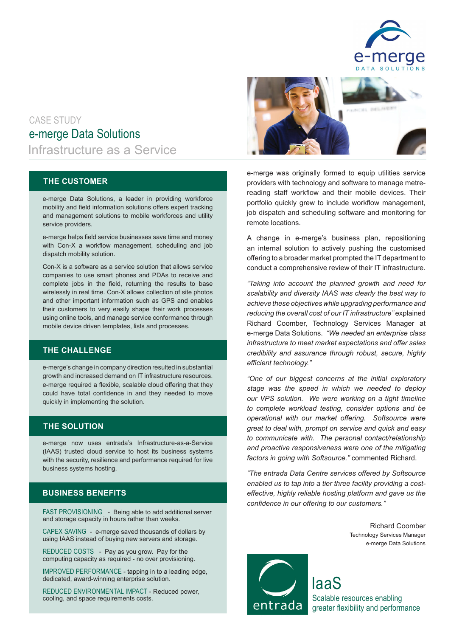

# e-merge Data Solutions Infrastructure as a Service CASE STUDY

### **THE CUSTOMER**

e-merge Data Solutions, a leader in providing workforce mobility and field information solutions offers expert tracking and management solutions to mobile workforces and utility service providers.

e-merge helps field service businesses save time and money with Con-X a workflow management, scheduling and job dispatch mobility solution.

Con-X is a software as a service solution that allows service companies to use smart phones and PDAs to receive and complete jobs in the field, returning the results to base wirelessly in real time. Con-X allows collection of site photos and other important information such as GPS and enables their customers to very easily shape their work processes using online tools, and manage service conformance through mobile device driven templates, lists and processes.

### **THE CHALLENGE**

e-merge's change in company direction resulted in substantial growth and increased demand on IT infrastructure resources. e-merge required a flexible, scalable cloud offering that they could have total confidence in and they needed to move quickly in implementing the solution.

### **THE SOLUTION**

e-merge now uses entrada's Infrastructure-as-a-Service (IAAS) trusted cloud service to host its business systems with the security, resilience and performance required for live business systems hosting.

## **BUSINESS BENEFITS**

FAST PROVISIONING - Being able to add additional server and storage capacity in hours rather than weeks.

CAPEX SAVING - e-merge saved thousands of dollars by using IAAS instead of buying new servers and storage.

REDUCED COSTS - Pay as you grow. Pay for the computing capacity as required - no over provisioning.

IMPROVED PERFORMANCE - tapping in to a leading edge, dedicated, award-winning enterprise solution.

REDUCED ENVIRONMENTAL IMPACT - Reduced power, cooling, and space requirements costs.



e-merge was originally formed to equip utilities service providers with technology and software to manage metrereading staff workflow and their mobile devices. Their portfolio quickly grew to include workflow management, job dispatch and scheduling software and monitoring for remote locations.

A change in e-merge's business plan, repositioning an internal solution to actively pushing the customised offering to a broader market prompted the IT department to conduct a comprehensive review of their IT infrastructure.

*"Taking into account the planned growth and need for scalability and diversity IAAS was clearly the best way to achieve these objectives while upgrading performance and reducing the overall cost of our IT infrastructure"* explained Richard Coomber, Technology Services Manager at e-merge Data Solutions. *"We needed an enterprise class infrastructure to meet market expectations and offer sales credibility and assurance through robust, secure, highly efficient technology."*

*"One of our biggest concerns at the initial exploratory stage was the speed in which we needed to deploy our VPS solution. We were working on a tight timeline to complete workload testing, consider options and be operational with our market offering. Softsource were great to deal with, prompt on service and quick and easy to communicate with. The personal contact/relationship and proactive responsiveness were one of the mitigating factors in going with Softsource."* commented Richard.

*"The entrada Data Centre services offered by Softsource enabled us to tap into a tier three facility providing a costeffective, highly reliable hosting platform and gave us the confidence in our offering to our customers."*

> Richard Coomber Technology Services Manager e-merge Data Solutions



IaaS Scalable resources enabling greater flexibility and performance